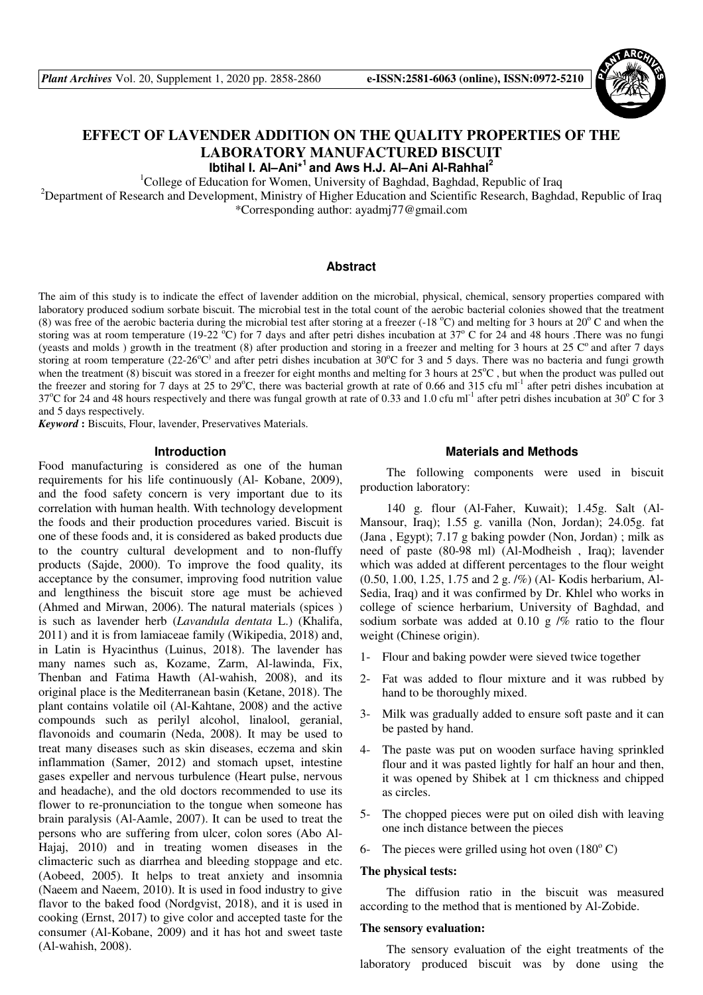

# **EFFECT OF LAVENDER ADDITION ON THE QUALITY PROPERTIES OF THE LABORATORY MANUFACTURED BISCUIT**

**Ibtihal I. Al–Ani\*<sup>1</sup>and Aws H.J. Al–Ani Al-Rahhal<sup>2</sup>**

<sup>1</sup>College of Education for Women, University of Baghdad, Baghdad, Republic of Iraq

<sup>2</sup>Department of Research and Development, Ministry of Higher Education and Scientific Research, Baghdad, Republic of Iraq \*Corresponding author: ayadmj77@gmail.com

## **Abstract**

The aim of this study is to indicate the effect of lavender addition on the microbial, physical, chemical, sensory properties compared with laboratory produced sodium sorbate biscuit. The microbial test in the total count of the aerobic bacterial colonies showed that the treatment (8) was free of the aerobic bacteria during the microbial test after storing at a freezer (-18  $^{\circ}$ C) and melting for 3 hours at 20 $^{\circ}$  C and when the storing was at room temperature (19-22  $\degree$ C) for 7 days and after petri dishes incubation at 37 $\degree$  C for 24 and 48 hours .There was no fungi (yeasts and molds) growth in the treatment (8) after production and storing in a freezer and melting for 3 hours at 25  $\degree$  and after 7 days storing at room temperature (22-26 $^{\circ}$ C) and after petri dishes incubation at  $30^{\circ}$ C for 3 and 5 days. There was no bacteria and fungi growth when the treatment  $(8)$  biscuit was stored in a freezer for eight months and melting for 3 hours at  $25^{\circ}\text{C}$ , but when the product was pulled out the freezer and storing for 7 days at 25 to 29 $^{\circ}$ C, there was bacterial growth at rate of 0.66 and 315 cfu ml<sup>-1</sup> after petri dishes incubation at 37°C for 24 and 48 hours respectively and there was fungal growth at rate of 0.33 and 1.0 cfu ml<sup>-1</sup> after petri dishes incubation at 30°C for 3 and 5 days respectively.

*Keyword* **:** Biscuits, Flour, lavender, Preservatives Materials.

#### **Introduction**

Food manufacturing is considered as one of the human requirements for his life continuously (Al- Kobane, 2009), and the food safety concern is very important due to its correlation with human health. With technology development the foods and their production procedures varied. Biscuit is one of these foods and, it is considered as baked products due to the country cultural development and to non-fluffy products (Sajde, 2000). To improve the food quality, its acceptance by the consumer, improving food nutrition value and lengthiness the biscuit store age must be achieved (Ahmed and Mirwan, 2006). The natural materials (spices ) is such as lavender herb (*Lavandula dentata* L.) (Khalifa, 2011) and it is from lamiaceae family (Wikipedia, 2018) and, in Latin is Hyacinthus (Luinus, 2018). The lavender has many names such as, Kozame, Zarm, Al-lawinda, Fix, Thenban and Fatima Hawth (Al-wahish, 2008), and its original place is the Mediterranean basin (Ketane, 2018). The plant contains volatile oil (Al-Kahtane, 2008) and the active compounds such as perilyl alcohol, linalool, geranial, flavonoids and coumarin (Neda, 2008). It may be used to treat many diseases such as skin diseases, eczema and skin inflammation (Samer, 2012) and stomach upset, intestine gases expeller and nervous turbulence (Heart pulse, nervous and headache), and the old doctors recommended to use its flower to re-pronunciation to the tongue when someone has brain paralysis (Al-Aamle, 2007). It can be used to treat the persons who are suffering from ulcer, colon sores (Abo Al-Hajaj, 2010) and in treating women diseases in the climacteric such as diarrhea and bleeding stoppage and etc. (Aobeed, 2005). It helps to treat anxiety and insomnia (Naeem and Naeem, 2010). It is used in food industry to give flavor to the baked food (Nordgvist, 2018), and it is used in cooking (Ernst, 2017) to give color and accepted taste for the consumer (Al-Kobane, 2009) and it has hot and sweet taste (Al-wahish, 2008).

### **Materials and Methods**

The following components were used in biscuit production laboratory:

140 g. flour (Al-Faher, Kuwait); 1.45g. Salt (Al-Mansour, Iraq); 1.55 g. vanilla (Non, Jordan); 24.05g. fat (Jana , Egypt); 7.17 g baking powder (Non, Jordan) ; milk as need of paste (80-98 ml) (Al-Modheish , Iraq); lavender which was added at different percentages to the flour weight (0.50, 1.00, 1.25, 1.75 and 2 g. /%) (Al- Kodis herbarium, Al-Sedia, Iraq) and it was confirmed by Dr. Khlel who works in college of science herbarium, University of Baghdad, and sodium sorbate was added at  $0.10 \frac{g}{\%}$  ratio to the flour weight (Chinese origin).

- 1- Flour and baking powder were sieved twice together
- 2- Fat was added to flour mixture and it was rubbed by hand to be thoroughly mixed.
- 3- Milk was gradually added to ensure soft paste and it can be pasted by hand.
- 4- The paste was put on wooden surface having sprinkled flour and it was pasted lightly for half an hour and then, it was opened by Shibek at 1 cm thickness and chipped as circles.
- 5- The chopped pieces were put on oiled dish with leaving one inch distance between the pieces
- 6- The pieces were grilled using hot oven  $(180^{\circ} \text{ C})$

#### **The physical tests:**

The diffusion ratio in the biscuit was measured according to the method that is mentioned by Al-Zobide.

#### **The sensory evaluation:**

The sensory evaluation of the eight treatments of the laboratory produced biscuit was by done using the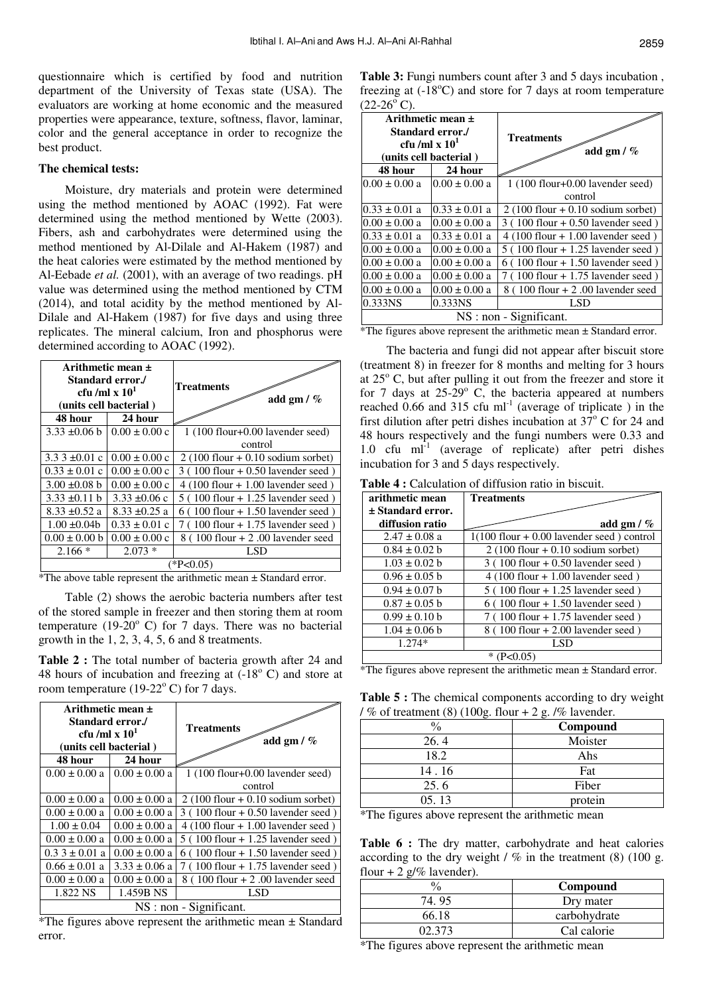questionnaire which is certified by food and nutrition department of the University of Texas state (USA). The evaluators are working at home economic and the measured properties were appearance, texture, softness, flavor, laminar, color and the general acceptance in order to recognize the best product.

#### **The chemical tests:**

Moisture, dry materials and protein were determined using the method mentioned by AOAC (1992). Fat were determined using the method mentioned by Wette (2003). Fibers, ash and carbohydrates were determined using the method mentioned by Al-Dilale and Al-Hakem (1987) and the heat calories were estimated by the method mentioned by Al-Eebade *et al.* (2001), with an average of two readings. pH value was determined using the method mentioned by CTM (2014), and total acidity by the method mentioned by Al-Dilale and Al-Hakem (1987) for five days and using three replicates. The mineral calcium, Iron and phosphorus were determined according to AOAC (1992).

| Arithmetic mean $\pm$<br>Standard error./<br>cfu /ml x $10^1$<br>(units cell bacterial)<br>24 hour<br>48 hour |                   | Treatments<br>add gm $/$ %           |  |  |  |
|---------------------------------------------------------------------------------------------------------------|-------------------|--------------------------------------|--|--|--|
| $3.33 \pm 0.06$ b                                                                                             | $0.00 \pm 0.00$ c | $1(100$ flour+0.00 lavender seed)    |  |  |  |
|                                                                                                               |                   | control                              |  |  |  |
| $3.33 \pm 0.01$ c                                                                                             | $0.00 \pm 0.00$ c | $2(100$ flour + 0.10 sodium sorbet)  |  |  |  |
| $0.33 \pm 0.01$ c                                                                                             | $0.00 \pm 0.00$ c | $3(100$ flour + 0.50 lavender seed)  |  |  |  |
| $3.00 \pm 0.08$ b                                                                                             | $0.00 \pm 0.00$ c | $4(100$ flour $+1.00$ lavender seed) |  |  |  |
| $3.33 \pm 0.11 b$                                                                                             | $3.33 \pm 0.06$ c | $5(100$ flour $+1.25$ lavender seed) |  |  |  |
| $8.33 \pm 0.52$ a                                                                                             | $8.33 \pm 0.25$ a | $6(100$ flour + 1.50 lavender seed)  |  |  |  |
| $1.00 \pm 0.04$                                                                                               | $0.33 \pm 0.01$ c | $7(100$ flour $+1.75$ lavender seed) |  |  |  |
| $0.00 \pm 0.00 b$                                                                                             | $0.00 \pm 0.00$ c | $8(100$ flour $+ 2.00$ lavender seed |  |  |  |
| $2.166*$                                                                                                      | $2.073*$          | LSD                                  |  |  |  |
| $*P<0.05$                                                                                                     |                   |                                      |  |  |  |

\*The above table represent the arithmetic mean ± Standard error.

Table (2) shows the aerobic bacteria numbers after test of the stored sample in freezer and then storing them at room temperature (19-20 $\degree$  C) for 7 days. There was no bacterial growth in the 1, 2, 3, 4, 5, 6 and 8 treatments.

**Table 2 :** The total number of bacteria growth after 24 and 48 hours of incubation and freezing at  $(-18<sup>o</sup> C)$  and store at room temperature  $(19-22^{\circ} \text{ C})$  for 7 days.

| Arithmetic mean $\pm$<br>Standard error./<br>cfu /ml x $101$<br>(units cell bacterial) |                   | Treatments<br>add gm $/$ %           |  |  |  |
|----------------------------------------------------------------------------------------|-------------------|--------------------------------------|--|--|--|
| 48 hour                                                                                | 24 hour           |                                      |  |  |  |
| $0.00 \pm 0.00 a$                                                                      | $0.00 \pm 0.00 a$ | $1(100$ flour+0.00 lavender seed)    |  |  |  |
|                                                                                        |                   | control                              |  |  |  |
| $0.00 \pm 0.00 a$                                                                      | $0.00 \pm 0.00 a$ | $2(100$ flour + 0.10 sodium sorbet)  |  |  |  |
| $0.00 \pm 0.00 a$                                                                      | $0.00 \pm 0.00 a$ | $3(100$ flour + 0.50 lavender seed)  |  |  |  |
| $1.00 \pm 0.04$                                                                        | $0.00 \pm 0.00 a$ | $4(100$ flour $+1.00$ lavender seed) |  |  |  |
| $0.00 \pm 0.00 a$                                                                      | $0.00 \pm 0.00 a$ | $5(100$ flour $+1.25$ lavender seed) |  |  |  |
| $0.33 \pm 0.01$ a                                                                      | $0.00 \pm 0.00 a$ | $6(100$ flour + 1.50 lavender seed)  |  |  |  |
| $0.66 \pm 0.01$ a                                                                      | $3.33 \pm 0.06$ a | $7(100$ flour $+1.75$ lavender seed) |  |  |  |
| $0.00 \pm 0.00 a$                                                                      | $0.00 \pm 0.00 a$ | $8(100$ flour $+ 2.00$ lavender seed |  |  |  |
| 1.822 NS                                                                               | 1.459B NS         | LSD                                  |  |  |  |
| NS : non - Significant.                                                                |                   |                                      |  |  |  |

\*The figures above represent the arithmetic mean ± Standard error.

**Table 3:** Fungi numbers count after 3 and 5 days incubation , freezing at  $(-18^{\circ}\text{C})$  and store for 7 days at room temperature  $(22-26^{\circ} \text{C}).$ 

| Arithmetic mean $\pm$<br>cfu/ml x $101$                                                     | Standard error./<br>(units cell bacterial) | <b>Treatments</b><br>add gm $/$ %    |  |  |  |
|---------------------------------------------------------------------------------------------|--------------------------------------------|--------------------------------------|--|--|--|
| 48 hour                                                                                     | 24 hour                                    |                                      |  |  |  |
| $0.00 \pm 0.00 a$                                                                           | $0.00 \pm 0.00 a$                          | $1(100$ flour+0.00 lavender seed)    |  |  |  |
|                                                                                             |                                            | control                              |  |  |  |
| $0.33 \pm 0.01$ a                                                                           | $0.33 \pm 0.01$ a                          | $2(100$ flour + 0.10 sodium sorbet)  |  |  |  |
| $0.00 \pm 0.00 a$                                                                           | $0.00 \pm 0.00 a$                          | $3(100$ flour + 0.50 lavender seed)  |  |  |  |
| $0.33 \pm 0.01$ a                                                                           | $0.33 \pm 0.01$ a                          | $4(100$ flour $+1.00$ lavender seed) |  |  |  |
| $0.00 \pm 0.00 a$                                                                           | $0.00 \pm 0.00 a$                          | $5(100$ flour $+1.25$ lavender seed) |  |  |  |
| $0.00 \pm 0.00 a$                                                                           | $0.00 \pm 0.00 a$                          | $6(100$ flour + 1.50 lavender seed)  |  |  |  |
| $0.00 \pm 0.00 a$                                                                           | $0.00 \pm 0.00 a$                          | $7(100$ flour $+1.75$ lavender seed) |  |  |  |
| $0.00 \pm 0.00 a$                                                                           | $0.00 \pm 0.00 a$                          | $8(100$ flour $+ 2.00$ lavender seed |  |  |  |
| 0.333NS                                                                                     | 0.333NS                                    | LSD                                  |  |  |  |
| NS : non - Significant.<br>*The figures above represent the orithmetic mean 1 Standard even |                                            |                                      |  |  |  |

\*The figures above represent the arithmetic mean ± Standard error.

The bacteria and fungi did not appear after biscuit store (treatment 8) in freezer for 8 months and melting for 3 hours at  $25^{\circ}$  C, but after pulling it out from the freezer and store it for 7 days at  $25-29$ ° C, the bacteria appeared at numbers reached  $0.66$  and 315 cfu ml<sup>-1</sup> (average of triplicate) in the first dilution after petri dishes incubation at  $37^{\circ}$  C for 24 and 48 hours respectively and the fungi numbers were 0.33 and 1.0 cfu  $ml^{-1}$  (average of replicate) after petri dishes incubation for 3 and 5 days respectively.

**Table 4 :** Calculation of diffusion ratio in biscuit.

| arithmetic mean       | <b>Treatments</b>                            |
|-----------------------|----------------------------------------------|
| $\pm$ Standard error. |                                              |
| diffusion ratio       | add gm $/$ %                                 |
| $2.47 \pm 0.08$ a     | $1(100$ flour $+0.00$ lavender seed) control |
| $0.84 \pm 0.02$ b     | $2(100$ flour + 0.10 sodium sorbet)          |
| $1.03 \pm 0.02 b$     | $3(100$ flour + 0.50 lavender seed)          |
| $0.96 \pm 0.05$ b     | $4(100$ flour $+1.00$ lavender seed)         |
| $0.94 \pm 0.07$ b     | $5(100$ flour + 1.25 lavender seed)          |
| $0.87 \pm 0.05$ b     | $6(100$ flour + 1.50 lavender seed)          |
| $0.99 \pm 0.10 b$     | $7(100$ flour + 1.75 lavender seed)          |
| $1.04 \pm 0.06$ b     | $8(100$ flour $+ 2.00$ lavender seed)        |
| $1.274*$              | LSD                                          |
|                       |                                              |

\*The figures above represent the arithmetic mean ± Standard error.

**Table 5 :** The chemical components according to dry weight /  $%$  of treatment (8) (100g. flour + 2 g. /% lavender.

| $\frac{0}{0}$ | Compound |
|---------------|----------|
| 26.4          | Moister  |
| 18.2          | Ahs      |
| 14.16         | Fat      |
| 25.6          | Fiber    |
| 05.13         | protein  |

\*The figures above represent the arithmetic mean

**Table 6 :** The dry matter, carbohydrate and heat calories according to the dry weight  $/$  % in the treatment (8) (100 g. flour + 2  $g$ /% lavender).

|       | Compound     |
|-------|--------------|
| 74.95 | Dry mater    |
| 66 18 | carbohydrate |
|       | Cal calorie  |

\*The figures above represent the arithmetic mean